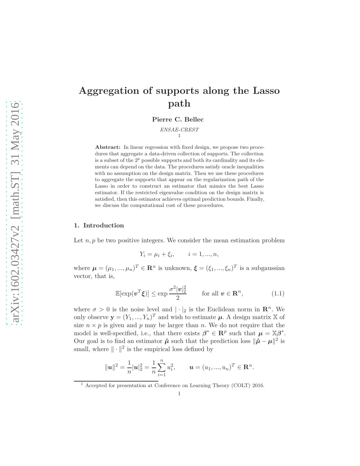# arXiv:1602.03427v2 [math.ST] 31 May 2016 [arXiv:1602.03427v2 \[math.ST\] 31 May 2016](http://arxiv.org/abs/1602.03427v2)

# **Aggregation of supports along the Lasso path**

**Pierre C. Bellec**

*ENSAE-CREST* [1](#page-0-0)

**Abstract:** In linear regression with fixed design, we propose two procedures that aggregate a data-driven collection of supports. The collection is a subset of the 2*<sup>p</sup>* possible supports and both its cardinality and its elements can depend on the data. The procedures satisfy oracle inequalities with no assumption on the design matrix. Then we use these procedures to aggregate the supports that appear on the regularization path of the Lasso in order to construct an estimator that mimics the best Lasso estimator. If the restricted eigenvalue condition on the design matrix is satisfied, then this estimator achieves optimal prediction bounds. Finally, we discuss the computational cost of these procedures.

#### **1. Introduction**

Let  $n, p$  be two positive integers. We consider the mean estimation problem

$$
Y_i = \mu_i + \xi_i, \qquad i = 1, ..., n,
$$

where  $\mu = (\mu_1, ..., \mu_n)^T \in \mathbb{R}^n$  is unknown,  $\xi = (\xi_1, ..., \xi_n)^T$  is a subgaussian vector, that is,

<span id="page-0-1"></span>
$$
\mathbb{E}[\exp(\boldsymbol{v}^T\boldsymbol{\xi})] \le \exp\frac{\sigma^2|\boldsymbol{v}|_2^2}{2} \quad \text{for all } \boldsymbol{v} \in \mathbf{R}^n,
$$
 (1.1)

where  $\sigma > 0$  is the noise level and  $|\cdot|_2$  is the Euclidean norm in  $\mathbb{R}^n$ . We only observe  $\mathbf{y} = (Y_1, ..., Y_n)^T$  and wish to estimate  $\boldsymbol{\mu}$ . A design matrix X of size  $n \times p$  is given and p may be larger than n. We do not require that the model is well-specified, i.e., that there exists  $\beta^* \in \mathbb{R}^p$  such that  $\mu = \mathbb{X}\beta^*$ . Our goal is to find an estimator  $\hat{\mu}$  such that the prediction loss  $\|\hat{\mu} - \mu\|^2$  is small, where  $\|\cdot\|^2$  is the empirical loss defined by

$$
\|\mathbf{u}\|^2 = \frac{1}{n} |\mathbf{u}|_2^2 = \frac{1}{n} \sum_{i=1}^n u_i^2, \qquad \mathbf{u} = (u_1, ..., u_n)^T \in \mathbf{R}^n.
$$

<span id="page-0-0"></span><sup>&</sup>lt;sup>1</sup> Accepted for presentation at Conference on Learning Theory (COLT) 2016.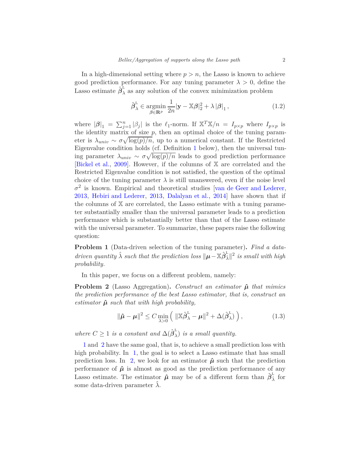In a high-dimensional setting where  $p > n$ , the Lasso is known to achieve good prediction performance. For any tuning parameter  $\lambda > 0$ , define the Lasso estimate  $\hat{\beta}_{\lambda}^{\hat{\iota}}$  as any solution of the convex minimization problem

<span id="page-1-3"></span>
$$
\hat{\boldsymbol{\beta}}_{\lambda}^{\text{L}} \in \underset{\boldsymbol{\beta} \in \mathbf{R}^{p}}{\operatorname{argmin}} \frac{1}{2n} |\mathbf{y} - \mathbb{X}\boldsymbol{\beta}|_{2}^{2} + \lambda |\boldsymbol{\beta}|_{1}, \qquad (1.2)
$$

where  $|\beta|_1 = \sum_{j=1}^n |\beta_j|$  is the  $\ell_1$ -norm. If  $\mathbb{X}^T \mathbb{X}/n = I_{p \times p}$  where  $I_{p \times p}$  is the identity matrix of size  $p$ , then an optimal choice of the tuning parameter is  $\lambda_{univ} \sim \sigma \sqrt{\log(p)/n}$ , up to a numerical constant. If the Restricted Eigenvalue condition holds (cf. Definition [1](#page-8-0) below), then the universal tuning parameter  $\lambda_{univ} \sim \sigma \sqrt{\log(p)/n}$  leads to good prediction performance [\[Bickel et al.](#page-18-0), [2009](#page-18-0)]. However, if the columns of X are correlated and the Restricted Eigenvalue condition is not satisfied, the question of the optimal choice of the tuning parameter  $\lambda$  is still unanswered, even if the noise level  $\sigma^2$  is known. Empirical and theoretical studies [\[van de Geer and Lederer,](#page-19-0) [2013](#page-19-0), [Hebiri and Lederer,](#page-18-1) [2013](#page-18-1), [Dalalyan et al.,](#page-18-2) [2014\]](#page-18-2) have shown that if the columns of  $X$  are correlated, the Lasso estimate with a tuning parameter substantially smaller than the universal parameter leads to a prediction performance which is substantially better than that of the Lasso estimate with the universal parameter. To summarize, these papers raise the following question:

<span id="page-1-0"></span>**Problem 1** (Data-driven selection of the tuning parameter)**.** *Find a datadriven quantity*  $\hat{\lambda}$  *such that the prediction loss*  $\|\mu - \mathbb{X}\hat{\beta}_{\hat{\lambda}}^{\text{L}}\|$  $\frac{1}{\lambda}$ ||<sup>2</sup> is small with high *probability.*

In this paper, we focus on a different problem, namely:

<span id="page-1-1"></span>**Problem 2** (Lasso Aggregation). *Construct an estimator*  $\hat{\mu}$  *that mimics the prediction performance of the best Lasso estimator, that is, construct an estimator*  $\hat{\mu}$  *such that with high probability,* 

<span id="page-1-2"></span>
$$
\|\hat{\boldsymbol{\mu}} - \boldsymbol{\mu}\|^2 \le C \min_{\lambda > 0} \left( \|\mathbb{X}\hat{\boldsymbol{\beta}}^{\mathsf{L}}_{\lambda} - \boldsymbol{\mu}\|^2 + \Delta(\hat{\boldsymbol{\beta}}^{\mathsf{L}}_{\lambda}) \right),\tag{1.3}
$$

*where*  $C \geq 1$  *is a constant and*  $\Delta(\hat{\beta}_{\lambda}^{\text{L}})$ *λ* ) *is a small quantity.*

[1](#page-1-0) and [2](#page-1-1) have the same goal, that is, to achieve a small prediction loss with high probability. In [1,](#page-1-0) the goal is to select a Lasso estimate that has small prediction loss. In [2,](#page-1-1) we look for an estimator  $\hat{\mu}$  such that the prediction performance of  $\hat{\boldsymbol{\mu}}$  is almost as good as the prediction performance of any Lasso estimate. The estimator  $\hat{\boldsymbol{\mu}}$  may be of a different form than  $\hat{\boldsymbol{\beta}}_{\lambda}^{\text{L}}$  for some data-driven parameter *λ*ˆ.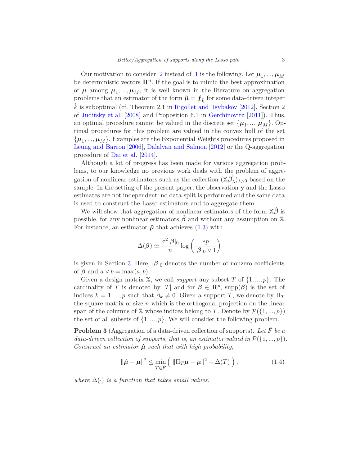Our motivation to consider [2](#page-1-1) instead of [1](#page-1-0) is the following. Let  $\mu_1, ..., \mu_M$ be deterministic vectors  $\mathbb{R}^n$ . If the goal is to mimic the best approximation of  $\mu$  among  $\mu_1, ..., \mu_M$ , it is well known in the literature on aggregation problems that an estimator of the form  $\hat{\mu} = f_{\hat{k}}$  for some data-driven integer ˆ*k* is suboptimal (cf. Theorem 2.1 in [Rigollet and Tsybakov](#page-19-1) [\[2012\]](#page-19-1), Section 2 of [Juditsky et al.](#page-18-3) [\[2008](#page-18-3)] and Proposition 6.1 in [Gerchinovitz](#page-18-4) [\[2011](#page-18-4)]). Thus, an optimal procedure cannot be valued in the discrete set  $\{\mu_1, ..., \mu_M\}$ . Optimal procedures for this problem are valued in the convex hull of the set  $\{\boldsymbol{\mu}_1, ..., \boldsymbol{\mu}_M\}$ . Examples are the Exponential Weights procedures proposed in [Leung and Barron](#page-19-2) [\[2006\]](#page-19-2), [Dalalyan and Salmon](#page-18-5) [\[2012](#page-18-5)] or the Q-aggregation procedure of [Dai et al.](#page-18-6) [\[2014](#page-18-6)].

Although a lot of progress has been made for various aggregation problems, to our knowledge no previous work deals with the problem of aggregation of nonlinear estimators such as the collection  $(\mathbb{X}\hat{\beta}_{\lambda}^{\mathbb{L}})$  $\binom{1}{\lambda}$   $\lambda$ <sub>2</sub><sup>0</sup></sub> based on the sample. In the setting of the present paper, the observation **y** and the Lasso estimates are not independent: no data-split is performed and the same data is used to construct the Lasso estimators and to aggregate them.

We will show that aggregation of nonlinear estimators of the form X*β***ˆ** is possible, for any nonlinear estimators  $\hat{\beta}$  and without any assumption on X. For instance, an estimator  $\hat{\mu}$  that achieves [\(1.3\)](#page-1-2) with

$$
\Delta(\beta) \simeq \frac{\sigma^2 |\beta|_0}{n} \log \left( \frac{ep}{|\beta|_0 \vee 1} \right)
$$

is given in Section [3](#page-7-0). Here,  $|\beta|_0$  denotes the number of nonzero coefficients of  $\beta$  and  $a \vee b = \max(a, b)$ .

Given a design matrix <sup>X</sup>, we call *support* any subset *<sup>T</sup>* of {1*, ..., p*}. The cardinality of *T* is denoted by |*T*| and for  $\beta \in \mathbb{R}^p$ , supp $(\beta)$  is the set of indices  $k = 1, ..., p$  such that  $\beta_k \neq 0$ . Given a support *T*, we denote by  $\Pi_T$ the square matrix of size *n* which is the orthogonal projection on the linear span of the columns of X whose indices belong to *T*. Denote by  $\mathcal{P}(\{1,...,p\})$ the set of all subsets of  $\{1, ..., p\}$ . We will consider the following problem.

<span id="page-2-1"></span>**Problem 3** (Aggregation of a data-driven collection of supports)**.** *Let F*ˆ *be a data-driven collection of supports, that is, an estimator valued in*  $P({1,..., p})$ *. Construct an estimator*  $\hat{\mu}$  *such that with high probability,* 

<span id="page-2-0"></span>
$$
\|\hat{\boldsymbol{\mu}} - \boldsymbol{\mu}\|^2 \le \min_{T \in \hat{F}} \left( \|\Pi_T \boldsymbol{\mu} - \boldsymbol{\mu}\|^2 + \Delta(T) \right), \tag{1.4}
$$

*where*  $\Delta(\cdot)$  *is a function that takes small values.*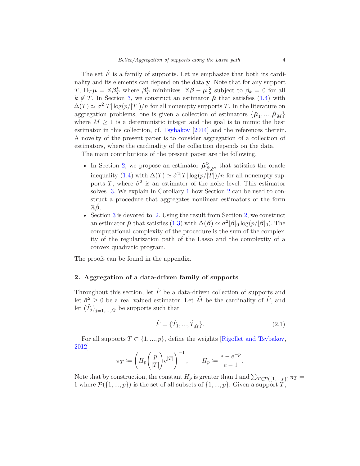The set  $\hat{F}$  is a family of supports. Let us emphasize that both its cardinality and its elements can depend on the data **y**. Note that for any support *T*,  $\Pi_T \mu = \mathbb{X} \beta_T^*$  where  $\beta_T^*$  minimizes  $|\mathbb{X} \beta - \mu|_2^2$  subject to  $\beta_k = 0$  for all  $k \notin T$ . In Section [3](#page-7-0), we construct an estimator  $\hat{\mu}$  that satisfies [\(1.4\)](#page-2-0) with  $\Delta(T) \simeq \sigma^2 |T| \log(p/|T|)/n$  for all nonempty supports *T*. In the literature on aggregation problems, one is given a collection of estimators  $\{\hat{\boldsymbol{\mu}}_1, ..., \hat{\boldsymbol{\mu}}_M\}$ where  $M \geq 1$  is a deterministic integer and the goal is to mimic the best estimator in this collection, cf. [Tsybakov](#page-19-3) [\[2014](#page-19-3)] and the references therein. A novelty of the present paper is to consider aggregation of a collection of estimators, where the cardinality of the collection depends on the data.

The main contributions of the present paper are the following.

- In Section [2,](#page-3-0) we propose an estimator  $\hat{\mu}^{\mathbb{Q}}_{\hat{\varepsilon}}$  $\hat{F}, \hat{\sigma}^2$  that satisfies the oracle inequality [\(1.4\)](#page-2-0) with  $\Delta(T) \simeq \frac{\partial^2}{T} |\log(p/|T|)/n$  for all nonempty supports *T*, where  $\hat{\sigma}^2$  is an estimator of the noise level. This estimator solves [3.](#page-2-1) We explain in Corollary [1](#page-6-0) how Section [2](#page-3-0) can be used to construct a procedure that aggregates nonlinear estimators of the form X*β***ˆ**.
- Section [3](#page-7-0) is devoted to [2](#page-3-0). Using the result from Section 2, we construct an estimator  $\hat{\mu}$  that satisfies [\(1.3\)](#page-1-2) with  $\Delta(\beta) \simeq \sigma^2 |\beta|_0 \log(p/|\beta|_0)$ . The computational complexity of the procedure is the sum of the complexity of the regularization path of the Lasso and the complexity of a convex quadratic program.

The proofs can be found in the appendix.

#### <span id="page-3-0"></span>**2. Aggregation of a data-driven family of supports**

Throughout this section, let  $\hat{F}$  be a data-driven collection of supports and let  $\hat{\sigma}^2 \geq 0$  be a real valued estimator. Let  $\hat{M}$  be the cardinality of  $\hat{F}$ , and let  $(\hat{T}_j)_{j=1,\ldots,\hat{M}}$  be supports such that

<span id="page-3-1"></span>
$$
\hat{F} = \{\hat{T}_1, ..., \hat{T}_{\hat{M}}\}.
$$
\n(2.1)

For all supports  $T \subset \{1, ..., p\}$ , define the weights [\[Rigollet and Tsybakov,](#page-19-1) [2012](#page-19-1)]

$$
\pi_T := \left( H_p \binom{p}{|T|} e^{|T|} \right)^{-1}, \qquad H_p := \frac{e - e^{-p}}{e - 1}.
$$

Note that by construction, the constant  $H_p$  is greater than 1 and  $\sum_{T \in \mathcal{P}(\{1,\ldots,p\})} \pi_T =$ 1 where  $\mathcal{P}(\{1, ..., p\})$  is the set of all subsets of  $\{1, ..., p\}$ . Given a support  $T$ ,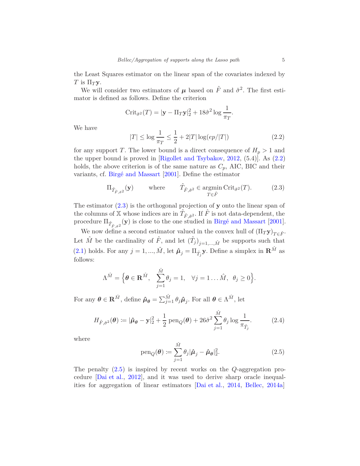the Least Squares estimator on the linear span of the covariates indexed by  $T$  is  $\Pi_T$ **y**.

We will consider two estimators of  $\mu$  based on  $\hat{F}$  and  $\hat{\sigma}^2$ . The first estimator is defined as follows. Define the criterion

$$
\operatorname{Crit}_{\hat{\sigma}^2}(T) = |\mathbf{y} - \Pi_T \mathbf{y}|_2^2 + 18\hat{\sigma}^2 \log \frac{1}{\pi_T}.
$$

We have

<span id="page-4-0"></span>
$$
|T| \le \log \frac{1}{\pi_T} \le \frac{1}{2} + 2|T| \log(ep/|T|)
$$
 (2.2)

for any support *T*. The lower bound is a direct consequence of  $H_p > 1$  and the upper bound is proved in [\[Rigollet and Tsybakov](#page-19-1), [2012](#page-19-1), (5.4)]. As [\(2.2\)](#page-4-0) holds, the above criterion is of the same nature as  $C_p$ , AIC, BIC and their variants, cf. [Birgé and Massart](#page-18-7) [\[2001](#page-18-7)]. Define the estimator

<span id="page-4-1"></span>
$$
\Pi_{\hat{T}_{\hat{F},\hat{\sigma}^2}}(\mathbf{y}) \qquad \text{where} \qquad \hat{T}_{\hat{F},\hat{\sigma}^2} \in \operatorname*{argmin}_{T \in \hat{F}} \operatorname{Crit}_{\hat{\sigma}^2}(T). \tag{2.3}
$$

The estimator [\(2.3\)](#page-4-1) is the orthogonal projection of **y** onto the linear span of the columns of X whose indices are in  $\hat{T}_{\hat{F},\hat{\sigma}^2}$ . If  $\hat{F}$  is not data-dependent, the procedure  $\Pi_{\hat{T}_{\hat{F},\hat{\sigma}^2}}(\mathbf{y})$  is close to the one studied in [Birgé and Massart](#page-18-7) [\[2001](#page-18-7)].

We now define a second estimator valued in the convex hull of  $(\Pi_T \mathbf{y})_{T \in \hat{F}}$ . Let  $\hat{M}$  be the cardinality of  $\hat{F}$ , and let  $(\hat{T}_j)_{j=1,\dots,\hat{M}}$  be supports such that  $(2.1)$  holds. For any  $j = 1, ..., \hat{M}$ , let  $\hat{\boldsymbol{\mu}}_j = \Pi_{\hat{T}_j}$ y. Define a simplex in  $\mathbb{R}^{\hat{M}}$  as follows:

$$
\Lambda^{\hat{M}} = \Big\{ \boldsymbol{\theta} \in \mathbf{R}^{\hat{M}}, \quad \sum_{j=1}^{\hat{M}} \theta_j = 1, \quad \forall j = 1 \dots \hat{M}, \ \theta_j \ge 0 \Big\}.
$$

For any  $\theta \in \mathbb{R}^{\hat{M}}$ , define  $\hat{\mu}_{\theta} = \sum_{j=1}^{\hat{M}} \theta_j \hat{\mu}_j$ . For all  $\theta \in \Lambda^{\hat{M}}$ , let

<span id="page-4-3"></span>
$$
H_{\hat{F},\hat{\sigma}^2}(\boldsymbol{\theta}) := |\hat{\boldsymbol{\mu}}_{\boldsymbol{\theta}} - \mathbf{y}|_2^2 + \frac{1}{2} \operatorname{pen}_Q(\boldsymbol{\theta}) + 26\hat{\sigma}^2 \sum_{j=1}^{\hat{M}} \theta_j \log \frac{1}{\pi_{\hat{T}_j}}.
$$
 (2.4)

where

<span id="page-4-2"></span>
$$
\text{pen}_Q(\boldsymbol{\theta}) \coloneqq \sum_{j=1}^{\hat{M}} \theta_j |\hat{\boldsymbol{\mu}}_j - \hat{\boldsymbol{\mu}}_{\boldsymbol{\theta}}|_2^2.
$$
 (2.5)

The penalty [\(2.5\)](#page-4-2) is inspired by recent works on the *Q*-aggregation procedure [\[Dai et al.,](#page-18-8) [2012\]](#page-18-8), and it was used to derive sharp oracle inequalities for aggregation of linear estimators [\[Dai et al.](#page-18-6), [2014,](#page-18-6) [Bellec](#page-17-0), [2014a](#page-17-0)]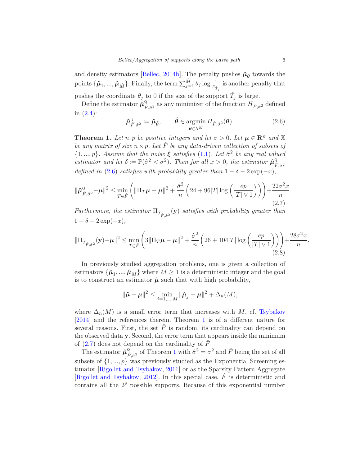and density estimators [\[Bellec](#page-17-1), [2014b](#page-17-1)]. The penalty pushes  $\hat{\mu}_{\theta}$  towards the points  $\{\hat{\boldsymbol{\mu}}_1, ..., \hat{\boldsymbol{\mu}}_{\hat{M}}\}$ . Finally, the term  $\sum_{j=1}^{\hat{M}} \theta_j \log \frac{1}{\pi_{\hat{T}_j}}$  is another penalty that

pushes the coordinate  $\theta_j$  to 0 if the size of the support  $\hat{T}_j$  is large.

Define the estimator  $\hat{\boldsymbol{\mu}}_{\hat{r}}^{\mathcal{Q}}$  $\oint_{\hat{F}, \hat{\sigma}^2}$  as any minimizer of the function  $H_{\hat{F}, \hat{\sigma}^2}$  defined in  $(2.4)$ :

<span id="page-5-0"></span>
$$
\hat{\boldsymbol{\mu}}^{\mathcal{Q}}_{\hat{F},\hat{\sigma}^2} := \hat{\boldsymbol{\mu}}_{\hat{\boldsymbol{\theta}}}, \qquad \hat{\boldsymbol{\theta}} \in \operatorname*{argmin}_{\boldsymbol{\theta} \in \Lambda^{\hat{M}}} H_{\hat{F},\hat{\sigma}^2}(\boldsymbol{\theta}). \tag{2.6}
$$

<span id="page-5-1"></span>**Theorem 1.** Let *n, p* be positive integers and let  $\sigma > 0$ . Let  $\mu \in \mathbb{R}^n$  and X *be any matrix of size*  $n \times p$ *. Let*  $\hat{F}$  *be any data-driven collection of subsets of*  $\{1, ..., p\}$ *. Assume that the noise ξ satisfies* [\(1.1\)](#page-0-1)*. Let*  $\hat{\sigma}^2$  *be any real valued estimator and let*  $\delta := \mathbb{P}(\hat{\sigma}^2 < \sigma^2)$ *. Then for all*  $x > 0$ *, the estimator*  $\hat{\mu}^{\mathbb{Q}}_{\hat{\sigma}}$  $\hat{F}, \hat{\sigma}^2$ *defined in* [\(2.6\)](#page-5-0) *satisfies with probability greater than*  $1 - \delta - 2 \exp(-x)$ ,

<span id="page-5-2"></span>
$$
\|\hat{\boldsymbol{\mu}}^{\mathcal{Q}}_{\hat{F},\hat{\sigma}^2} - \boldsymbol{\mu}\|^2 \le \min_{T \in \hat{F}} \left( \|\Pi_T \boldsymbol{\mu} - \boldsymbol{\mu}\|^2 + \frac{\hat{\sigma}^2}{n} \left( 24 + 96|T| \log \left( \frac{ep}{|T| \vee 1} \right) \right) \right) + \frac{22\sigma^2 x}{n} \tag{2.7}
$$

*Furthermore, the estimator*  $\Pi_{\hat{T}_{\hat{F},\hat{\sigma}^2}}(\mathbf{y})$  *satisfies with probability greater than*  $1 - \delta - 2 \exp(-x)$ ,

<span id="page-5-3"></span>
$$
\|\Pi_{\hat{T}_{\hat{F},\hat{\sigma}^2}}(\mathbf{y}) - \boldsymbol{\mu}\|^2 \le \min_{T \in \hat{F}} \left(3\|\Pi_T \boldsymbol{\mu} - \boldsymbol{\mu}\|^2 + \frac{\hat{\sigma}^2}{n} \left(26 + 104|T|\log\left(\frac{ep}{|T| \vee 1}\right)\right)\right) + \frac{28\sigma^2 x}{n}.
$$
\n(2.8)

In previously studied aggregation problems, one is given a collection of estimators  $\{\hat{\boldsymbol{\mu}}_1, ..., \hat{\boldsymbol{\mu}}_M\}$  where  $M \geq 1$  is a deterministic integer and the goal is to construct an estimator  $\hat{\mu}$  such that with high probability,

$$
\|\hat{\mu} - \mu\|^2 \le \min_{j=1,...,M} \|\hat{\mu}_j - \mu\|^2 + \Delta_n(M),
$$

where  $\Delta_n(M)$  is a small error term that increases with *M*, cf. [Tsybakov](#page-19-3) [\[2014](#page-19-3)] and the references therein. Theorem [1](#page-5-1) is of a different nature for several reasons. First, the set  $\hat{F}$  is random, its cardinality can depend on the observed data **y**. Second, the error term that appears inside the minimum of  $(2.7)$  does not depend on the cardinality of  $\hat{F}$ .

The estimator  $\hat{\boldsymbol{\mu}}_{\hat{r}}^{\mathcal{Q}}$ <sup>Q</sup><sub> $\hat{F}, \hat{\sigma}^2$ </sub> of Theorem [1](#page-5-1) with  $\hat{\sigma}^2 = \sigma^2$  and  $\hat{F}$  being the set of all subsets of  $\{1, ..., p\}$  was previously studied as the Exponential Screening estimator [\[Rigollet and Tsybakov,](#page-19-4) [2011](#page-19-4)] or as the Sparsity Pattern Aggregate [\[Rigollet and Tsybakov,](#page-19-1) [2012](#page-19-1)]. In this special case,  $\hat{F}$  is deterministic and contains all the  $2^p$  possible supports. Because of this exponential number

*.*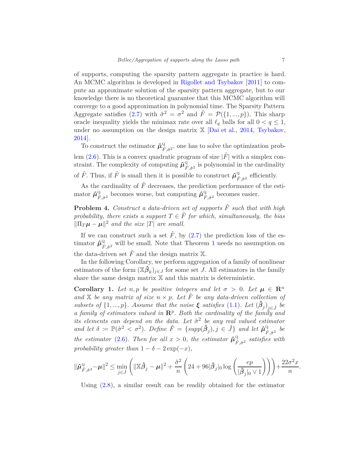of supports, computing the sparsity pattern aggregate in practice is hard. An MCMC algorithm is developed in [Rigollet and Tsybakov](#page-19-4) [\[2011](#page-19-4)] to compute an approximate solution of the sparsity pattern aggregate, but to our knowledge there is no theoretical guarantee that this MCMC algorithm will converge to a good approximation in polynomial time. The Sparsity Pattern Aggregate satisfies [\(2.7\)](#page-5-2) with  $\hat{\sigma}^2 = \sigma^2$  and  $\hat{F} = \mathcal{P}(\{1, ..., p\})$ . This sharp oracle inequality yields the minimax rate over all  $\ell_q$  balls for all  $0 < q \leq 1$ , under no assumption on the design matrix  $X$  Dai et al., [2014](#page-18-6), [Tsybakov,](#page-19-3) [2014](#page-19-3)].

To construct the estimator  $\hat{\boldsymbol{\mu}}_{\hat{\epsilon}}^{\mathbb{Q}}$  $\hat{F}, \hat{\sigma}^2$ , one has to solve the optimization problem  $(2.6)$ . This is a convex quadratic program of size  $|\hat{F}|$  with a simplex constraint. The complexity of computing  $\hat{\mu}^{\mathbb{Q}}_{\hat{\varepsilon}}$  $\hat{F}_{\hat{F},\hat{\sigma}^2}$  is polynomial in the cardinality of  $\hat{F}$ . Thus, if  $\hat{F}$  is small then it is possible to construct  $\hat{\mu}^{\mathbb{Q}}_{\hat{F}}$  $\hat{F}, \hat{\sigma}^2$  efficiently.

As the cardinality of  $\hat{F}$  decreases, the prediction performance of the estimator  $\hat{\mu}^{\text{Q}}_{\hat{r}}$ <sup>Q</sup><sub> $\hat{F}, \hat{\sigma}^2$ </sub> becomes worse, but computing  $\hat{\mu}_{\hat{F}}^{\mathcal{Q}}$  $\frac{Q}{F, \hat{\sigma}^2}$  becomes easier.

**Problem 4.** *Construct a data-driven set of supports F*ˆ *such that with high probability, there exists a support*  $T \in \hat{F}$  *for which, simultaneously, the bias*  $\|\Pi_T\boldsymbol{\mu} - \boldsymbol{\mu}\|^2$  and the size  $|T|$  are small.

If we can construct such a set  $\hat{F}$ , by [\(2.7\)](#page-5-2) the prediction loss of the estimator  $\hat{\mu}^{\text{Q}}_{\hat{t}}$  $\hat{F}, \hat{\sigma}^2$  will be small. Note that Theorem [1](#page-5-1) needs no assumption on the data-driven set  $\hat{F}$  and the design matrix X.

In the following Corollary, we perform aggregation of a family of nonlinear estimators of the form  $(\mathbb{X}\hat{\beta}_k)_{j\in J}$  for some set *J*. All estimators in the family share the same design matrix X and this matrix is deterministic.

<span id="page-6-0"></span>**Corollary 1.** Let  $n, p$  be positive integers and let  $\sigma > 0$ . Let  $\mu \in \mathbb{R}^n$ and  $X$  be any matrix of size  $n \times p$ . Let  $\hat{F}$  be any data-driven collection of *subsets of*  $\{1, ..., p\}$ *. Assume that the noise*  $\xi$  *satisfies*  $(1.1)$ *. Let*  $(\hat{\beta}_j)_{j \in \hat{J}}$  *be a family of estimators valued in* **R***<sup>p</sup> . Both the cardinality of the family and its elements can depend on the data. Let*  $\hat{\sigma}^2$  *be any real valued estimator and let*  $\delta := \mathbb{P}(\hat{\sigma}^2 < \sigma^2)$ *. Define*  $\hat{F} = \{\text{supp}(\hat{\beta}_j), j \in \hat{J}\}\$ and let  $\hat{\mu}_{\hat{F}}^{\mathbb{Q}}$  $\hat{F}, \hat{\sigma}^2$  *be the estimator* [\(2.6\)](#page-5-0)*. Then for all*  $x > 0$ *, the estimator*  $\hat{\mu}_{\hat{\tau}}^{\mathbb{Q}}$  $\hat{F}_{\hat{r},\hat{\sigma}^2}$  *satisfies with probability greater than*  $1 - \delta - 2 \exp(-x)$ *,* 

$$
\|\hat{\pmb \mu}_{\hat F,\hat \sigma^2}^\text{Q} - \pmb \mu\|^2 \leq \min_{j\in \hat J} \left(\|\mathbb{X} \hat{\pmb \beta}_j - \pmb \mu\|^2 + \frac{\hat \sigma^2}{n}\left(24 + 96|\hat \pmb \beta_j|_0\log\left(\frac{ep}{|\hat \pmb \beta_j|_0 \vee 1}\right)\right)\right) + \frac{22\sigma^2x}{n}.
$$

Using [\(2.8\)](#page-5-3), a similar result can be readily obtained for the estimator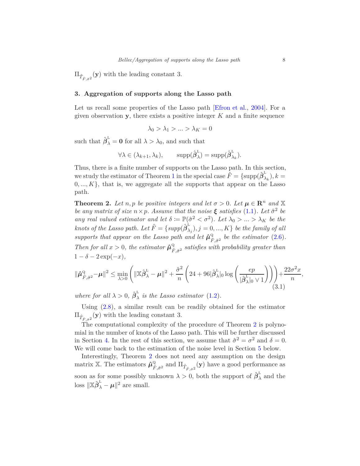$\Pi_{\hat{T}_{\hat{F},\hat{\sigma}^2}}(\mathbf{y})$  with the leading constant 3.

# <span id="page-7-0"></span>**3. Aggregation of supports along the Lasso path**

Let us recall some properties of the Lasso path [\[Efron et al.,](#page-18-9) [2004](#page-18-9)]. For a given observation  $\mathbf{y}$ , there exists a positive integer  $K$  and a finite sequence

$$
\lambda_0 > \lambda_1 > \ldots > \lambda_K = 0
$$

such that  $\hat{\boldsymbol{\beta}}_{\lambda}^{\text{L}} = \mathbf{0}$  for all  $\lambda > \lambda_0$ , and such that

$$
\forall \lambda \in (\lambda_{k+1}, \lambda_k), \qquad \text{supp}(\hat{\beta}_{\lambda}^{\mathbb{L}}) = \text{supp}(\hat{\beta}_{\lambda_k}^{\mathbb{L}}).
$$

Thus, there is a finite number of supports on the Lasso path. In this section, we study the estimator of Theorem [1](#page-5-1) in the special case  $\dot{\hat{F}} = {\text{supp}(\hat{\beta}_{\lambda}^{\text{L}})}$  $\frac{1}{\lambda_k}$ ),  $k =$  $0, \ldots, K$ , that is, we aggregate all the supports that appear on the Lasso path.

<span id="page-7-1"></span>**Theorem 2.** Let *n, p be positive integers and let*  $\sigma > 0$ *. Let*  $\mu \in \mathbb{R}^n$  *and* X *be any matrix of size*  $n \times p$ *. Assume that the noise*  $\xi$  *satisfies* [\(1.1\)](#page-0-1)*. Let*  $\hat{\sigma}^2$  *be any real valued estimator and let*  $\delta := \mathbb{P}(\hat{\sigma}^2 < \sigma^2)$ *. Let*  $\lambda_0 > ... > \lambda_K$  *be the knots of the Lasso path. Let*  $\hat{F} = \{ \operatorname{supp}(\hat{\beta}_{\lambda}^{\mathbb{L}}) \}$  $\mathcal{L}_{\lambda_j}^{\mathcal{L}}$ ),  $j = 0, ..., K$ } *be the family of all* supports that appear on the Lasso path and let  $\hat{\mu}^{\mathbb{Q}}_{\hat{\varepsilon}}$  $\hat{F}, \hat{\sigma}^2$  be the estimator  $(2.6)$ . *Then for all*  $x > 0$ *, the estimator*  $\hat{\mu}^{\mathbb{Q}}_{\hat{r}}$  $\hat{F}_{\hat{r},\hat{\sigma}^2}$  satisfies with probability greater than  $1 - \delta - 2 \exp(-x)$ ,

<span id="page-7-2"></span>
$$
\|\hat{\mu}^{\mathbf{Q}}_{\hat{F},\hat{\sigma}^2}-\mu\|^2 \leq \min_{\lambda>0}\left(\|\mathbb{X}\hat{\beta}^{\mathbf{L}}_{\lambda}-\mu\|^2+\frac{\hat{\sigma}^2}{n}\left(24+96|\hat{\beta}^{\mathbf{L}}_{\lambda}|_0\log\left(\frac{ep}{|\hat{\beta}^{\mathbf{L}}_{\lambda}|_0\vee 1}\right)\right)\right)+\frac{22\sigma^2x}{n},\tag{3.1}
$$

*where for all*  $\lambda > 0$ ,  $\hat{\boldsymbol{\beta}}_{\lambda}^{\text{L}}$  $\frac{1}{\lambda}$  *is the Lasso estimator* [\(1.2\)](#page-1-3).

Using [\(2.8\)](#page-5-3), a similar result can be readily obtained for the estimator  $\Pi_{\hat{T}_{\hat{F},\hat{\sigma}^2}}(\mathbf{y})$  with the leading constant 3.

The computational complexity of the procedure of Theorem [2](#page-7-1) is polynomial in the number of knots of the Lasso path. This will be further discussed in Section [4](#page-10-0). In the rest of this section, we assume that  $\hat{\sigma}^2 = \sigma^2$  and  $\delta = 0$ . We will come back to the estimation of the noise level in Section [5](#page-11-0) below.

Interestingly, Theorem [2](#page-7-1) does not need any assumption on the design matrix  $\mathbb{X}$ . The estimators  $\hat{\boldsymbol{\mu}}_{\hat{\epsilon}}^{\mathbb{Q}}$  $\hat{F}$ ,  $\hat{\sigma}^2$  and  $\Pi_{\hat{T}_{\hat{F},\hat{\sigma}^2}}(\mathbf{y})$  have a good performance as soon as for some possibly unknown  $\lambda > 0$ , both the support of  $\hat{\beta}_{\lambda}^{\text{L}}$  and the loss  $\|\mathbb{X}\hat{\boldsymbol{\beta}}_{\lambda}^{\text{L}} - \boldsymbol{\mu}\|^2$  are small.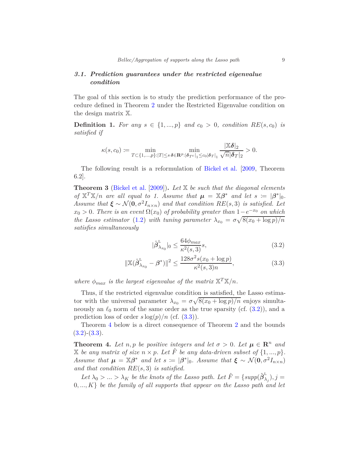# *3.1. Prediction guarantees under the restricted eigenvalue condition*

The goal of this section is to study the prediction performance of the procedure defined in Theorem [2](#page-7-1) under the Restricted Eigenvalue condition on the design matrix X.

<span id="page-8-0"></span>**Definition 1.** For any  $s \in \{1, ..., p\}$  and  $c_0 > 0$ , condition  $RE(s, c_0)$  is *satisfied if*

$$
\kappa(s,c_0) := \min_{T \subset \{1,\ldots,p\}: |T| \le s \, \delta \in \mathbf{R}^p: |\delta_{T^c}|_1 \le c_0 |\delta_{T}|_1} \frac{|\mathbb{X} \delta|_2}{\sqrt{n} |\delta_{T}|_2} > 0.
$$

The following result is a reformulation of [Bickel et al.](#page-18-0) [\[2009,](#page-18-0) Theorem 6.2].

<span id="page-8-4"></span>**Theorem 3** [\(Bickel et al.](#page-18-0) [\[2009](#page-18-0)])**.** *Let* X *be such that the diagonal elements of*  $X^T X/n$  *are all equal to 1. Assume that*  $\mu = X\beta^*$  *and let*  $s := |\beta^*|_0$ *. Assume that*  $\xi \sim \mathcal{N}(\mathbf{0}, \sigma^2 I_{n \times n})$  *and that condition*  $RE(s, 3)$  *is satisfied. Let*  $x_0 > 0$ . There is an event  $\Omega(x_0)$  *of probability greater than*  $1 - e^{-x_0}$  *on which the Lasso estimator* [\(1.2\)](#page-1-3) *with tuning parameter*  $\lambda_{x_0} = \sigma \sqrt{8(x_0 + \log p)/n}$ *satisfies simultaneously*

<span id="page-8-2"></span><span id="page-8-1"></span>
$$
|\hat{\beta}^{\mathrm{L}}_{\lambda_{x_0}}|_0 \le \frac{64\phi_{max}}{\kappa^2(s,3)}s,\tag{3.2}
$$

$$
\|\mathbb{X}(\hat{\beta}_{\lambda_{x_0}}^{\mathcal{L}} - \beta^*)\|^2 \le \frac{128\sigma^2 s(x_0 + \log p)}{\kappa^2(s, 3)n},\tag{3.3}
$$

*where*  $\phi_{max}$  *is the largest eigenvalue of the matrix*  $X^T X/n$ *.* 

Thus, if the restricted eigenvalue condition is satisfied, the Lasso estimator with the universal parameter  $\lambda_{x_0} = \sigma \sqrt{8(x_0 + \log p)/n}$  enjoys simultaneously an  $\ell_0$  norm of the same order as the true sparsity (cf.  $(3.2)$ ), and a prediction loss of order  $s \log(p)/n$  (cf.  $(3.3)$ ).

Theorem [4](#page-8-3) below is a direct consequence of Theorem [2](#page-7-1) and the bounds  $(3.2)-(3.3).$  $(3.2)-(3.3).$  $(3.2)-(3.3).$  $(3.2)-(3.3).$ 

<span id="page-8-3"></span>**Theorem 4.** Let *n, p be positive integers and let*  $\sigma > 0$ . Let  $\mu \in \mathbb{R}^n$  and  $\mathbb{X}$  *be any matrix of size*  $n \times p$ *. Let*  $\hat{F}$  *be any data-driven subset of*  $\{1, ..., p\}$ *. Assume that*  $\mu = \mathbb{X}\beta^*$  *and let*  $s := |\beta^*|_0$ *. Assume that*  $\xi \sim \mathcal{N}(\mathbf{0}, \sigma^2 I_{n \times n})$ *and that condition RE*(*s,* 3) *is satisfied.*

Let  $\lambda_0 > ... > \lambda_K$  be the knots of the Lasso path. Let  $\hat{F} = \{ \text{supp}(\hat{\beta}_{\lambda}^{\text{L}}) \}$  $\tilde{\lambda}_j$ )*, j* = 0*, ..., K*} *be the family of all supports that appear on the Lasso path and let*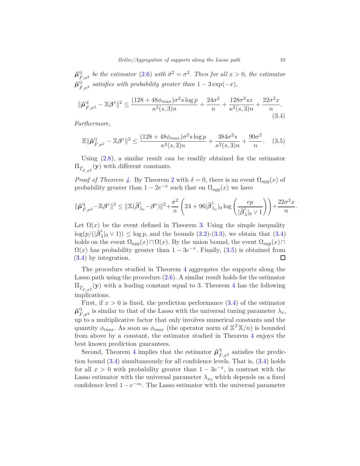$\hat{\boldsymbol{\mu}}_{\hat{r}}^{\text{Q}}$  $\hat{F}_{\tau,\sigma^2}$  be the estimator [\(2.6\)](#page-5-0) with  $\hat{\sigma}^2 = \sigma^2$ . Then for all  $x > 0$ , the estimator  $\boldsymbol{\hat{\mu}}_{\hat{r}}^{\text{Q}}$  $\hat{F}_{\hat{F},\sigma^2}$  satisfies with probability greater than  $1-3\exp(-x)$ ,

<span id="page-9-0"></span>
$$
\|\hat{\mu}_{\hat{F},\sigma^2}^{\mathcal{Q}} - \mathbb{X}\beta^*\|^2 \le \frac{(128 + 48\phi_{max})\sigma^2 s \log p}{\kappa^2(s,3)n} + \frac{24\sigma^2}{n} + \frac{128\sigma^2 sx}{\kappa^2(s,3)n} + \frac{22\sigma^2 x}{n}.
$$
\n(3.4)

*Furthermore,*

<span id="page-9-1"></span>
$$
\mathbb{E} \|\hat{\mu}_{\hat{F},\sigma^2}^{\mathbb{Q}} - \mathbb{X}\beta^*\|^2 \le \frac{(128 + 48\phi_{max})\sigma^2 s \log p}{\kappa^2(s,3)n} + \frac{384\sigma^2 s}{\kappa^2(s,3)n} + \frac{90\sigma^2}{n}.
$$
 (3.5)

Using [\(2.8\)](#page-5-3), a similar result can be readily obtained for the estimator  $\Pi_{\hat{T}_{\hat{F},\hat{\sigma}^2}}(\mathbf{y})$  with different constants.

*Proof of Theorem [4.](#page-8-3)* By Theorem [2](#page-7-1) with  $\delta = 0$ , there is an event  $\Omega_{agg}(x)$  of probability greater than  $1 - 2e^{-x}$  such that on  $\Omega_{agg}(x)$  we have

$$
\|\hat{\mu}^{\mathbf{Q}}_{\hat{F},\sigma^2} - \mathbb{X}\beta^*\|^2 \leq \|\mathbb{X}(\hat{\beta}_{\lambda_x}^{\mathbf{L}} - \beta^*)\|^2 + \frac{\sigma^2}{n} \left(24 + 96|\hat{\beta}_{\lambda_x}^{\mathbf{L}}|_0 \log\left(\frac{ep}{|\hat{\beta}_{\lambda}^{\mathbf{L}}|_0 \vee 1}\right)\right) + \frac{22\sigma^2x}{n}.
$$

Let  $\Omega(x)$  be the event defined in Theorem [3.](#page-8-4) Using the simple inequality  $\log(p/(\hat{|\boldsymbol{\beta}}_{\lambda}^{\text{\tiny L}})$  $\lambda_0^2(0 \vee 1) \le \log p$ , and the bounds [\(3.2\)](#page-8-1)-[\(3.3\)](#page-8-2), we obtain that [\(3.4\)](#page-9-0) holds on the event  $\Omega_{agg}(x) \cap \Omega(x)$ . By the union bound, the event  $\Omega_{agg}(x) \cap \Omega(x)$  $\Omega(x)$  has probability greater than  $1 - 3e^{-x}$ . Finally, [\(3.5\)](#page-9-1) is obtained from [\(3.4\)](#page-9-0) by integration.  $\Box$ 

The procedure studied in Theorem [4](#page-8-3) aggregates the supports along the Lasso path using the procedure  $(2.6)$ . A similar result holds for the estimator  $\Pi_{\hat{T}_{\hat{F},\hat{\sigma}^2}}(\mathbf{y})$  with a leading constant equal to 3. Theorem [4](#page-8-3) has the following implications.

First, if  $x > 0$  is fixed, the prediction performance  $(3.4)$  of the estimator  $\boldsymbol{\hat{\mu}}_{\hat{r}}^{\text{Q}}$  $\hat{F}_{\mu,\sigma^2}$  is similar to that of the Lasso with the universal tuning parameter  $\lambda_x$ , up to a multiplicative factor that only involves numerical constants and the quantity  $\phi_{max}$ . As soon as  $\phi_{max}$  (the operator norm of  $\mathbb{X}^T \mathbb{X}/n$ ) is bounded from above by a constant, the estimator studied in Theorem [4](#page-8-3) enjoys the best known prediction guarantees.

Second, Theorem [4](#page-8-3) implies that the estimator  $\hat{\boldsymbol{\mu}}_{\hat{\epsilon}}^{\mathbb{Q}}$  $\hat{F}_{,\sigma^2}$  satisfies the prediction bound  $(3.4)$  simultaneously for all confidence levels. That is,  $(3.4)$  holds for all  $x > 0$  with probability greater than  $1 - 3e^{-x}$ , in contrast with the Lasso estimator with the universal parameter  $\lambda_{x_0}$  which depends on a fixed confidence level  $1 - e^{-x_0}$ . The Lasso estimator with the universal parameter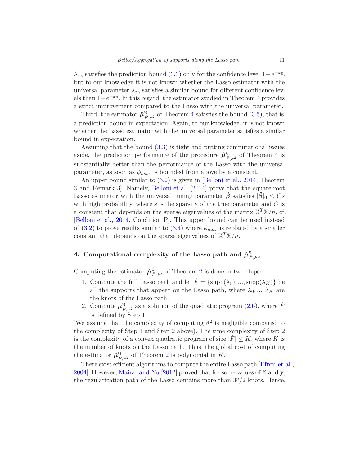$\lambda_{x_0}$  satisfies the prediction bound [\(3.3\)](#page-8-2) only for the confidence level  $1-e^{-x_0}$ , but to our knowledge it is not known whether the Lasso estimator with the universal parameter  $\lambda_{x_0}$  satisfies a similar bound for different confidence levels than  $1-e^{-x_0}$ . In this regard, the estimator studied in Theorem [4](#page-8-3) provides a strict improvement compared to the Lasso with the universal parameter.

Third, the estimator  $\hat{\boldsymbol{\mu}}_{\hat{r}}^{\mathcal{Q}}$  $\hat{F}_{\tau,\sigma^2}$  of Theorem [4](#page-8-3) satisfies the bound [\(3.5\)](#page-9-1), that is, a prediction bound in expectation. Again, to our knowledge, it is not known whether the Lasso estimator with the universal parameter satisfies a similar bound in expectation.

Assuming that the bound [\(3.3\)](#page-8-2) is tight and putting computational issues aside, the prediction performance of the procedure  $\hat{\boldsymbol{\mu}}_{\hat{\tau}}^{\mathbb{Q}}$  $\hat{F}_{\sigma}^{\mathcal{Q}}$  of Theorem [4](#page-8-3) is substantially better than the performance of the Lasso with the universal parameter, as soon as  $\phi_{max}$  is bounded from above by a constant.

An upper bound similar to [\(3.2\)](#page-8-1) is given in [\[Belloni et al.,](#page-17-2) [2014,](#page-17-2) Theorem 3 and Remark 3]. Namely, [Belloni et al.](#page-17-2) [\[2014\]](#page-17-2) prove that the square-root Lasso estimator with the universal tuning parameter  $\hat{\beta}$  satisfies  $|\hat{\beta}|_0 \leq Cs$ with high probability, where *s* is the sparsity of the true parameter and *C* is a constant that depends on the sparse eigenvalues of the matrix  $X^T X/n$ , cf. [\[Belloni et al.,](#page-17-2) [2014](#page-17-2), Condition P]. This upper bound can be used instead of  $(3.2)$  to prove results similar to  $(3.4)$  where  $\phi_{max}$  is replaced by a smaller constant that depends on the sparse eigenvalues of  $X^T X/n$ .

#### <span id="page-10-0"></span>**4.** Computational complexity of the Lasso path and  $\hat{\mu}^{\text{q}}_{\hat{\epsilon}}$  $\hat{F}, \hat{\sigma}^{\,2}$

Computing the estimator  $\hat{\mu}^{\mathbb{Q}}_{\hat{t}}$  $\hat{F}, \hat{\sigma}^2$  $\hat{F}, \hat{\sigma}^2$  of Theorem 2 is done in two steps:

- 1. Compute the full Lasso path and let  $\hat{F} = {\text{supp}}(\lambda_0),...,\text{supp}(\lambda_K)$  be all the supports that appear on the Lasso path, where  $\lambda_0, ..., \lambda_K$  are the knots of the Lasso path.
- 2. Compute  $\hat{\boldsymbol{\mu}}_{\hat{r}}^{\mathcal{Q}}$  $\hat{F}^{\text{Q}}_{\hat{F},\hat{\sigma}^2}$  as a solution of the quadratic program [\(2.6\)](#page-5-0), where  $\hat{F}$ is defined by Step 1.

(We assume that the complexity of computing  $\hat{\sigma}^2$  is negligible compared to the complexity of Step 1 and Step 2 above). The time complexity of Step 2 is the complexity of a convex quadratic program of size  $|\hat{F}| \leq K$ , where K is the number of knots on the Lasso path. Thus, the global cost of computing the estimator  $\hat{\mu}^{\mathbb{Q}}_{\hat{t}}$  $\hat{F}, \hat{\sigma}^2$  $\hat{F}, \hat{\sigma}^2$  of Theorem 2 is polynomial in *K*.

There exist efficient algorithms to compute the entire Lasso path [\[Efron et al.](#page-18-9), [2004](#page-18-9)]. However, [Mairal and Yu](#page-19-5) [\[2012](#page-19-5)] proved that for some values of X and **y**, the regularization path of the Lasso contains more than  $3<sup>p</sup>/2$  knots. Hence,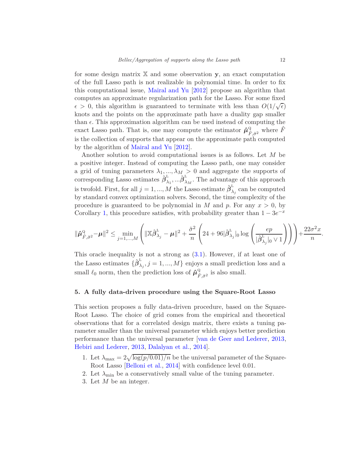for some design matrix X and some observation **y**, an exact computation of the full Lasso path is not realizable in polynomial time. In order to fix this computational issue, [Mairal and Yu](#page-19-5) [\[2012](#page-19-5)] propose an algorithm that computes an approximate regularization path for the Lasso. For some fixed  $\epsilon > 0$ , this algorithm is guaranteed to terminate with less than  $O(1/\sqrt{\epsilon})$ knots and the points on the approximate path have a duality gap smaller than  $\epsilon$ . This approximation algorithm can be used instead of computing the exact Lasso path. That is, one may compute the estimator  $\hat{\boldsymbol{\mu}}_{{\hat{\varepsilon}}}^{\mathbb{Q}}$  $\hat{F}$ , $\hat{\sigma}^2$  where  $\hat{F}$ is the collection of supports that appear on the approximate path computed by the algorithm of [Mairal and Yu](#page-19-5) [\[2012\]](#page-19-5).

Another solution to avoid computational issues is as follows. Let *M* be a positive integer. Instead of computing the Lasso path, one may consider a grid of tuning parameters  $\lambda_1, ..., \lambda_M > 0$  and aggregate the supports of corresponding Lasso estimates *β*ˆ l *λ*1 *, ...β*ˆ l  $\frac{1}{\lambda_M}$ . The advantage of this approach is twofold. First, for all  $j = 1, ..., M$  the Lasso estimate  $\hat{\beta}_{\lambda}^{\text{L}}$  $\alpha_{\lambda_j}$  can be computed by standard convex optimization solvers. Second, the time complexity of the procedure is guaranteed to be polynomial in *M* and *p*. For any  $x > 0$ , by Corollary [1](#page-6-0), this procedure satisfies, with probability greater than  $1 - 3e^{-x}$ 

$$
\|\hat{\mu}^{\mathsf{Q}}_{\hat{F},\hat{\sigma}^2}-\mu\|^2 \leq \min_{j=1,\ldots,M} \left( \|\mathbb{X}\hat{\beta}^{\mathsf{L}}_{\lambda_j}-\mu\|^2+\frac{\hat{\sigma}^2}{n}\left(24+96|\hat{\beta}^{\mathsf{L}}_{\lambda_j}|_0\log\left(\frac{ep}{|\hat{\beta}^{\mathsf{L}}_{\lambda_j}|_0\vee 1}\right)\right)\right)+\frac{22\sigma^2x}{n}.
$$

This oracle inequality is not a strong as [\(3.1\)](#page-7-2). However, if at least one of the Lasso estimates  $\{\hat{\boldsymbol{\beta}}_{\lambda}^{\text{L}}\}$  $\lambda_j$ ,  $j = 1, ..., M$ } enjoys a small prediction loss and a small  $\ell_0$  norm, then the prediction loss of  $\hat{\boldsymbol{\mu}}_{\hat{\kappa}}^{\mathbb{Q}}$  $\hat{F}, \hat{\sigma}^2$  is also small.

#### <span id="page-11-0"></span>**5. A fully data-driven procedure using the Square-Root Lasso**

This section proposes a fully data-driven procedure, based on the Square-Root Lasso. The choice of grid comes from the empirical and theoretical observations that for a correlated design matrix, there exists a tuning parameter smaller than the universal parameter which enjoys better prediction performance than the universal parameter [\[van de Geer and Lederer](#page-19-0), [2013,](#page-19-0) [Hebiri and Lederer](#page-18-1), [2013](#page-18-1), [Dalalyan et al.](#page-18-2), [2014\]](#page-18-2).

- 1. Let  $\lambda_{\text{max}} = 2\sqrt{\log(p/0.01)/n}$  be the universal parameter of the Square-Root Lasso [\[Belloni et al.](#page-17-2), [2014](#page-17-2)] with confidence level 0*.*01.
- 2. Let  $\lambda_{\min}$  be a conservatively small value of the tuning parameter.
- 3. Let *M* be an integer.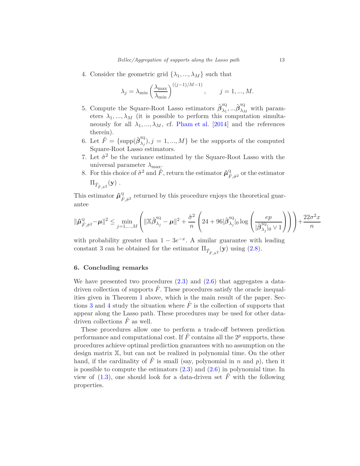4. Consider the geometric grid  $\{\lambda_1, ..., \lambda_M\}$  such that

$$
\lambda_j = \lambda_{\min} \left( \frac{\lambda_{\max}}{\lambda_{\min}} \right)^{((j-1)/M-1)}, \qquad j = 1, ..., M.
$$

- 5. Compute the Square-Root Lasso estimators  $\hat{\beta}_{\lambda_1}^{\text{sq}}$  $\hat{\beta}_{\lambda_1}^{\text{SQ}},...\hat{\beta}_{\lambda_\Lambda}^{\text{SQ}}$  $\frac{\partial \mathcal{L}_M}{\partial M}$  with parameters  $\lambda_1, ..., \lambda_M$  (it is possible to perform this computation simultaneously for all  $\lambda_1, ..., \lambda_M$ , cf. [Pham et al.](#page-19-6) [\[2014](#page-19-6)] and the references therein).
- 6. Let  $\hat{F} = {\text{supp}}(\hat{\beta}_{\lambda_j}^{\text{sq}})$  $\lambda_j$ ,  $j = 1, ..., M$  be the supports of the computed Square-Root Lasso estimators.
- 7. Let  $\hat{\sigma}^2$  be the variance estimated by the Square-Root Lasso with the universal parameter *λ*max.
- 8. For this choice of  $\hat{\sigma}^2$  and  $\hat{F}$ , return the estimator  $\hat{\mu}^{\mathbb{Q}}_{\hat{F}}$  $\hat{F}, \hat{\sigma}^2$  or the estimator  $\Pi_{\hat{T}_{\hat{F},\hat{\sigma}^2}}(\mathbf{y})$  .

This estimator  $\hat{\boldsymbol{\mu}}_{\hat{r}}^{\mathcal{Q}}$ <sup>Q</sup> returned by this procedure enjoys the theoretical guarantee

$$
\|\hat{\mu}^{\mathbf{Q}}_{\hat{F},\hat{\sigma}^2} - \mu\|^2 \le \min_{j=1,\dots,M} \left( \|\mathbb{X}\hat{\beta}^{\mathbf{SQ}}_{\lambda_j} - \mu\|^2 + \frac{\hat{\sigma}^2}{n} \left( 24 + 96|\hat{\beta}^{\mathbf{SQ}}_{\lambda_j}|_0 \log \left( \frac{ep}{|\hat{\beta}^{\mathbf{SQ}}_{\lambda_j}|_0 \vee 1} \right) \right) \right) + \frac{22\sigma^2 x}{n}
$$

with probability greater than  $1 - 3e^{-x}$ . A similar guarantee with leading constant 3 can be obtained for the estimator  $\Pi_{\hat{T}_{\hat{F},\hat{\sigma}^2}}(\mathbf{y})$  using [\(2.8\)](#page-5-3).

#### **6. Concluding remarks**

We have presented two procedures  $(2.3)$  and  $(2.6)$  that aggregates a datadriven collection of supports  $\hat{F}$ . These procedures satisfy the oracle inequalities given in Theorem [1](#page-5-1) above, which is the main result of the paper. Sec-tions [3](#page-7-0) and [4](#page-10-0) study the situation where  $\hat{F}$  is the collection of supports that appear along the Lasso path. These procedures may be used for other datadriven collections *F*ˆ as well.

These procedures allow one to perform a trade-off between prediction performance and computational cost. If  $\hat{F}$  contains all the  $2^p$  supports, these procedures achieve optimal prediction guarantees with no assumption on the design matrix X, but can not be realized in polynomial time. On the other hand, if the cardinality of  $\hat{F}$  is small (say, polynomial in *n* and *p*), then it is possible to compute the estimators  $(2.3)$  and  $(2.6)$  in polynomial time. In view of  $(1.3)$ , one should look for a data-driven set  $\hat{F}$  with the following properties.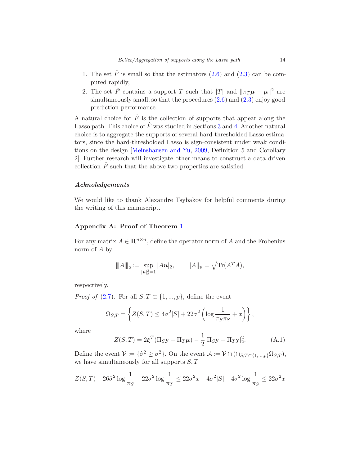- 1. The set  $\hat{F}$  is small so that the estimators  $(2.6)$  and  $(2.3)$  can be computed rapidly,
- 2. The set  $\hat{F}$  contains a support *T* such that  $|T|$  and  $\|\pi_T\mu \mu\|^2$  are simultaneously small, so that the procedures [\(2.6\)](#page-5-0) and [\(2.3\)](#page-4-1) enjoy good prediction performance.

A natural choice for  $\hat{F}$  is the collection of supports that appear along the Lasso path. This choice of  $\hat{F}$  was studied in Sections [3](#page-7-0) and [4.](#page-10-0) Another natural choice is to aggregate the supports of several hard-thresholded Lasso estimators, since the hard-thresholded Lasso is sign-consistent under weak conditions on the design [\[Meinshausen and Yu](#page-19-7), [2009](#page-19-7), Definition 5 and Corollary 2]. Further research will investigate other means to construct a data-driven collection  $\hat{F}$  such that the above two properties are satisfied.

# *Acknoledgements*

We would like to thank Alexandre Tsybakov for helpful comments during the writing of this manuscript.

# **Appendix A: Proof of Theorem [1](#page-5-1)**

For any matrix  $A \in \mathbb{R}^{n \times n}$ , define the operator norm of *A* and the Frobenius norm of *A* by

$$
|||A|||_2 := \sup_{|u|_2^2 = 1} |Au|_2, \qquad ||A||_{\mathrm{F}} = \sqrt{\mathrm{Tr}(A^T A)},
$$

respectively.

*Proof of* [\(2.7\)](#page-5-2). For all  $S, T \subset \{1, ..., p\}$ , define the event

$$
\Omega_{S,T} = \left\{ Z(S,T) \le 4\sigma^2 |S| + 22\sigma^2 \left( \log \frac{1}{\pi_S \pi_S} + x \right) \right\},\,
$$

where

<span id="page-13-0"></span>
$$
Z(S,T) = 2\boldsymbol{\xi}^T(\Pi_S \mathbf{y} - \Pi_T \boldsymbol{\mu}) - \frac{1}{2}|\Pi_S \mathbf{y} - \Pi_T \mathbf{y}|_2^2.
$$
 (A.1)

Define the event  $V := \{\hat{\sigma}^2 \geq \sigma^2\}$ . On the event  $\mathcal{A} := \mathcal{V} \cap (\cap_{S,T \subset \{1,\dots,p\}} \Omega_{S,T}),$ we have simultaneously for all supports *S, T*

$$
Z(S,T) - 26\hat{\sigma}^2 \log \frac{1}{\pi_S} - 22\sigma^2 \log \frac{1}{\pi_T} \le 22\sigma^2 x + 4\sigma^2 |S| - 4\sigma^2 \log \frac{1}{\pi_S} \le 22\sigma^2 x
$$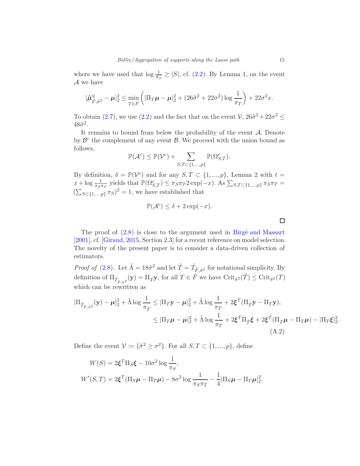where we have used that  $\log \frac{1}{\pi_S} \geq |S|$ , cf. [\(2.2\)](#page-4-0). By Lemma [1,](#page-15-0) on the event A we have

$$
|\hat{\mu}_{\hat{F},\hat{\sigma}^2}^{\mathcal{Q}} - \mu|_2^2 \le \min_{T \in \hat{F}} \left( |\Pi_T \mu - \mu|_2^2 + (26\hat{\sigma}^2 + 22\sigma^2) \log \frac{1}{\pi_T} \right) + 22\sigma^2 x.
$$

To obtain [\(2.7\)](#page-5-2), we use [\(2.2\)](#page-4-0) and the fact that on the event  $V$ ,  $26\hat{\sigma}^2 + 22\sigma^2 \leq$  $48\hat{\sigma}^2$ .

It remains to bound from below the probability of the event  $A$ . Denote by  $\mathcal{B}^c$  the complement of any event  $\mathcal{B}$ . We proceed with the union bound as follows,

$$
\mathbb{P}(\mathcal{A}^c) \leq \mathbb{P}(\mathcal{V}^c) + \sum_{S,T \subset \{1,\dots,p\}} \mathbb{P}(\Omega^c_{S,T}).
$$

By definition,  $\delta = \mathbb{P}(\mathcal{V}^c)$  and for any  $S, T \subset \{1, ..., p\}$ , Lemma [2](#page-17-3) with  $t =$  $x + \log \frac{1}{\pi s \pi T}$  yields that  $\mathbb{P}(\Omega_{S,T}^c) \leq \pi s \pi T^2 \exp(-x)$ . As  $\sum_{S,T \subset \{1,\dots,p\}} \pi s \pi T =$  $(\sum_{S \subset \{1,\ldots,p\}} \pi_S)^2 = 1$ , we have established that

$$
\mathbb{P}(\mathcal{A}^c) \le \delta + 2\exp(-x).
$$

<span id="page-14-0"></span>

The proof of [\(2.8\)](#page-5-3) is close to the argument used in [Birgé and Massart](#page-18-7) [\[2001](#page-18-7)], cf. [\[Giraud](#page-18-10), [2015](#page-18-10), Section 2.3] for a recent reference on model selection. The novelty of the present paper is to consider a data-driven collection of estimators.

*Proof of* [\(2.8\)](#page-5-3). Let  $\hat{\Lambda} = 18\hat{\sigma}^2$  and let  $\hat{T} = \hat{T}_{\hat{F},\hat{\sigma}^2}$  for notational simplicity. By definition of  $\Pi_{\hat{T}_{\hat{F},\hat{\sigma}^2}}(\mathbf{y}) = \Pi_{\hat{T}}\mathbf{y}$ , for all  $T \in \hat{F}$  we have  $\mathrm{Crit}_{\hat{\sigma}^2}(\hat{T}) \leq \mathrm{Crit}_{\hat{\sigma}^2}(T)$ which can be rewritten as

$$
\begin{split} |\Pi_{\hat{T}_{\hat{F},\hat{\sigma}^{2}}}(y) - \mu|_{2}^{2} + \hat{\Lambda}\log\frac{1}{\pi_{\hat{T}}} &\leq |\Pi_{T}y - \mu|_{2}^{2} + \hat{\Lambda}\log\frac{1}{\pi_{T}} + 2\xi^{T}(\Pi_{\hat{T}}y - \Pi_{T}y), \\ &\leq |\Pi_{T}\mu - \mu|_{2}^{2} + \hat{\Lambda}\log\frac{1}{\pi_{T}} + 2\xi^{T}\Pi_{\hat{T}}\xi + 2\xi^{T}(\Pi_{\hat{T}}\mu - \Pi_{T}\mu) - |\Pi_{T}\xi|_{2}^{2}. \end{split} \tag{A.2}
$$

Define the event  $\mathcal{V} \coloneqq \{ \hat{\sigma}^2 \geq \sigma^2 \}.$  For all  $S, T \subset \{1, ..., p\}$ , define

$$
W(S) = 2\xi^T \Pi_S \xi - 10\sigma^2 \log \frac{1}{\pi_S},
$$
  

$$
W'(S,T) = 2\xi^T (\Pi_S \mu - \Pi_T \mu) - 8\sigma^2 \log \frac{1}{\pi_S \pi_T} - \frac{1}{4} |\Pi_S \mu - \Pi_T \mu|_2^2.
$$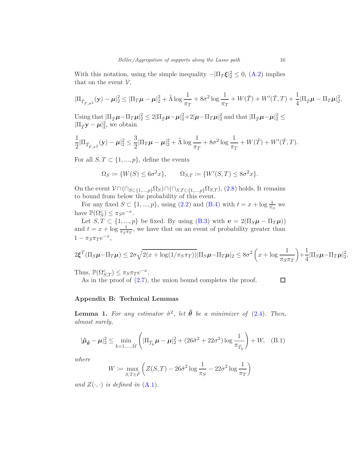With this notation, using the simple inequality  $-|\Pi_T \xi|^2 \leq 0$ , [\(A.2\)](#page-14-0) implies that on the event  $\mathcal{V},$ 

$$
|\Pi_{\hat{T}_{\hat{F},\hat{\sigma}^2}}(\mathbf{y}) - \boldsymbol{\mu}|_2^2 \le |\Pi_T \boldsymbol{\mu} - \boldsymbol{\mu}|_2^2 + \hat{\Lambda} \log \frac{1}{\pi_T} + 8\sigma^2 \log \frac{1}{\pi_T} + W(\hat{T}) + W'(\hat{T},T) + \frac{1}{4} |\Pi_{\hat{T}} \boldsymbol{\mu} - \Pi_T \boldsymbol{\mu}|_2^2,
$$

 $\frac{1}{2}$ Using that  $\frac{1}{n}\mu - \frac{\Pi_T \mu}{2} \leq 2|\Pi_{\hat{T}} \mu - \mu|_2^2 + 2|\mu - \Pi_T \mu|_2^2$  and that  $|\Pi_{\hat{T}} \mu - \mu|_2^2 \leq$  $|\Pi_{\hat{T}}\mathbf{y} - \boldsymbol{\mu}|_2^2$ , we obtain

$$
\frac{1}{2}|\Pi_{\hat{T}_{\hat{F},\hat{\sigma}^2}}(\mathbf{y}) - \boldsymbol{\mu}|_2^2 \leq \frac{3}{2}|\Pi_T \boldsymbol{\mu} - \boldsymbol{\mu}|_2^2 + \hat{\Lambda}\log\frac{1}{\pi_T} + 8\sigma^2\log\frac{1}{\pi_T} + W(\hat{T}) + W'(\hat{T},T).
$$

For all  $S, T \subset \{1, ..., p\}$ , define the events

$$
\Omega_S := \{ W(S) \le 6\sigma^2 x \}, \qquad \Omega_{S,T} := \{ W'(S,T) \le 8\sigma^2 x \}.
$$

On the event  $V \cap (\bigcap_{S \subset \{1,\ldots,p\}} \Omega_S) \cap (\bigcap_{S,T \subset \{1,\ldots,p\}} \Omega_{S,T})$ , [\(2.8\)](#page-5-3) holds. It remains to bound from below the probability of this event.

For any fixed  $S \subset \{1, ..., p\}$ , using [\(2.2\)](#page-4-0) and [\(B.4\)](#page-17-4) with  $t = x + \log \frac{1}{\pi_S}$  we have  $\mathbb{P}(\Omega_S^c) \leq \pi_S e^{-x}$ .

Let  $S, T \subset \{1, ..., p\}$  be fixed. By using [\(B.3\)](#page-17-5) with  $v = 2(\Pi_S \mu - \Pi_T \mu)$ and  $t = x + \log \frac{1}{\pi_S \pi_T}$ , we have that on an event of probability greater than  $1 - \pi_S \pi_T e^{-x}$ ,

$$
2\boldsymbol{\xi}^T(\Pi_S\boldsymbol{\mu}-\Pi_T\boldsymbol{\mu}) \leq 2\sigma\sqrt{2(x+\log(1/\pi_S\pi_T))}\|\Pi_S\boldsymbol{\mu}-\Pi_T\boldsymbol{\mu}\|_2 \leq 8\sigma^2\left(x+\log\frac{1}{\pi_S\pi_T}\right) + \frac{1}{4}\|\Pi_S\boldsymbol{\mu}-\Pi_T\boldsymbol{\mu}\|_2^2.
$$

Thus,  $\mathbb{P}(\Omega_{S,T}^c) \leq \pi_S \pi_T e^{-x}$ .

As in the proof of  $(2.7)$ , the union bound completes the proof.

# <span id="page-15-1"></span> $\Box$

### **Appendix B: Technical Lemmas**

<span id="page-15-0"></span>**Lemma 1.** For any estimator  $\hat{\sigma}^2$ , let  $\hat{\theta}$  be a minimizer of [\(2.4\)](#page-4-3). Then, *almost surely,*

$$
|\hat{\mu}_{\hat{\theta}} - \mu|_2^2 \le \min_{k=1,\dots,\hat{M}} \left( |\Pi_{\hat{T}_k} \mu - \mu|_2^2 + (26\hat{\sigma}^2 + 22\sigma^2) \log \frac{1}{\pi_{\hat{T}_k}} \right) + W, \quad (B.1)
$$

*where*

$$
W := \max_{S,T \in \hat{F}} \left( Z(S,T) - 26\hat{\sigma}^2 \log \frac{1}{\pi_S} - 22\sigma^2 \log \frac{1}{\pi_T} \right)
$$

*and*  $Z(\cdot, \cdot)$  *is defined in*  $(A.1)$ *.*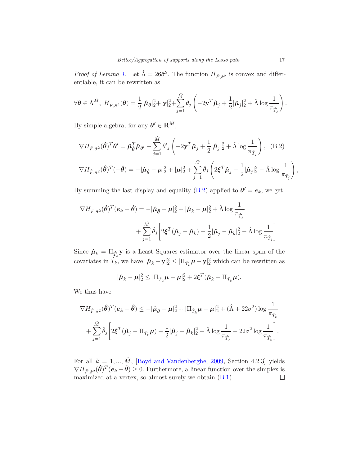*Proof of Lemma [1.](#page-15-0)* Let  $\hat{\Lambda} = 26\hat{\sigma}^2$ . The function  $H_{\hat{F},\hat{\sigma}^2}$  is convex and differentiable, it can be rewritten as

$$
\forall \boldsymbol{\theta} \in \Lambda^{\hat{M}}, \ H_{\hat{F},\hat{\sigma}^2}(\boldsymbol{\theta}) = \frac{1}{2} |\hat{\boldsymbol{\mu}}_{\boldsymbol{\theta}}|_2^2 + |\mathbf{y}|_2^2 + \sum_{j=1}^{\hat{M}} \theta_j \left( -2\mathbf{y}^T \hat{\boldsymbol{\mu}}_j + \frac{1}{2} |\hat{\boldsymbol{\mu}}_j|_2^2 + \hat{\Lambda} \log \frac{1}{\pi_{\hat{T}_j}} \right).
$$

By simple algebra, for any  $\boldsymbol{\theta}' \in \mathbb{R}^{\hat{M}}$ ,

<span id="page-16-0"></span>
$$
\nabla H_{\hat{F},\hat{\sigma}^2}(\hat{\theta})^T \theta' = \hat{\mu}_{\hat{\theta}}^T \hat{\mu}_{\theta'} + \sum_{j=1}^{\hat{M}} \theta'_j \left( -2\mathbf{y}^T \hat{\mu}_j + \frac{1}{2} |\hat{\mu}_j|_2^2 + \hat{\Lambda} \log \frac{1}{\pi_{\hat{T}_j}} \right), \quad (B.2)
$$
  

$$
\nabla H_{\hat{F},\hat{\sigma}^2}(\hat{\theta})^T (-\hat{\theta}) = -|\hat{\mu}_{\hat{\theta}} - \mu|_2^2 + |\mu|_2^2 + \sum_{j=1}^{\hat{M}} \hat{\theta}_j \left( 2\xi^T \hat{\mu}_j - \frac{1}{2} |\hat{\mu}_j|_2^2 - \hat{\Lambda} \log \frac{1}{\pi_{\hat{T}_j}} \right),
$$

By summing the last display and equality [\(B.2\)](#page-16-0) applied to  $\theta' = e_k$ , we get

$$
\nabla H_{\hat{F},\hat{\sigma}^2}(\hat{\theta})^T(e_k - \hat{\theta}) = -|\hat{\mu}_{\hat{\theta}} - \mu|_2^2 + |\hat{\mu}_k - \mu|_2^2 + \hat{\Lambda}\log\frac{1}{\pi_{\hat{T}_k}} + \sum_{j=1}^{\hat{M}} \hat{\theta}_j \left[ 2\xi^T(\hat{\mu}_j - \hat{\mu}_k) - \frac{1}{2}|\hat{\mu}_j - \hat{\mu}_k|_2^2 - \hat{\Lambda}\log\frac{1}{\pi_{\hat{T}_j}} \right].
$$

Since  $\hat{\boldsymbol{\mu}}_k = \Pi_{\hat{T}_k} \mathbf{y}$  is a Least Squares estimator over the linear span of the covariates in  $\hat{T}_k$ , we have  $|\hat{\mu}_k - \mathbf{y}|_2^2 \leq |\Pi_{\hat{T}_k} \mu - \mathbf{y}|_2^2$  which can be rewritten as

$$
|\hat{\boldsymbol{\mu}}_k - \boldsymbol{\mu}|_2^2 \leq |\Pi_{\hat{T}_k}\boldsymbol{\mu} - \boldsymbol{\mu}|_2^2 + 2\xi^T(\hat{\boldsymbol{\mu}}_k - \Pi_{\hat{T}_k}\boldsymbol{\mu}).
$$

We thus have

$$
\nabla H_{\hat{F},\hat{\sigma}^2}(\hat{\theta})^T(e_k - \hat{\theta}) \le -|\hat{\mu}_{\hat{\theta}} - \mu|_2^2 + |\Pi_{\hat{T}_k}\mu - \mu|_2^2 + (\hat{\Lambda} + 22\sigma^2) \log \frac{1}{\pi_{\hat{T}_k}}
$$
  
+ 
$$
\sum_{j=1}^{\hat{M}} \hat{\theta}_j \left[ 2\xi^T(\hat{\mu}_j - \Pi_{\hat{T}_k}\mu) - \frac{1}{2}|\hat{\mu}_j - \hat{\mu}_k|_2^2 - \hat{\Lambda}\log \frac{1}{\pi_{\hat{T}_j}} - 22\sigma^2 \log \frac{1}{\pi_{\hat{T}_k}} \right].
$$

For all  $k = 1, ..., \hat{M}$ , [\[Boyd and Vandenberghe,](#page-18-11) [2009](#page-18-11), Section 4.2.3] yields  $\nabla H_{\hat{F},\hat{\sigma}^2}(\hat{\theta})^T(e_k-\hat{\theta}) \geq 0$ . Furthermore, a linear function over the simplex is maximized at a vertex, so almost surely we obtain  $(B.1)$ .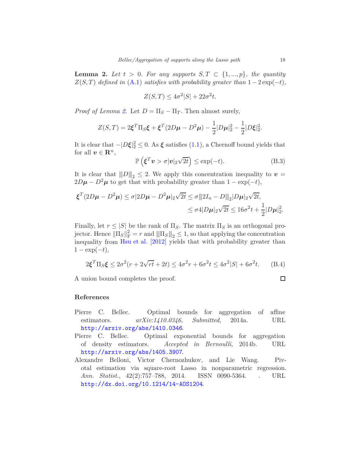<span id="page-17-3"></span>**Lemma 2.** Let  $t > 0$ . For any supports  $S, T \subset \{1, ..., p\}$ , the quantity  $Z(S,T)$  *defined in*  $(A.1)$  *satisfies with probability greater than*  $1-2 \exp(-t)$ *,* 

$$
Z(S,T) \le 4\sigma^2|S| + 22\sigma^2t.
$$

*Proof of Lemma [2.](#page-17-3)* Let  $D = \Pi_S - \Pi_T$ . Then almost surely,

$$
Z(S,T) = 2\xi^T \Pi_S \xi + \xi^T (2D\mu - D^2 \mu) - \frac{1}{2} |D\mu|_2^2 - \frac{1}{2} |D\xi|_2^2.
$$

It is clear that  $-|D\xi|^2 \leq 0$ . As  $\xi$  satisfies [\(1.1\)](#page-0-1), a Chernoff bound yields that for all  $v \in \mathbf{R}^n$ ,

<span id="page-17-5"></span>
$$
\mathbb{P}\left(\xi^T \mathbf{v} > \sigma |\mathbf{v}|_2 \sqrt{2t}\right) \le \exp(-t). \tag{B.3}
$$

It is clear that  $||D||_2 \leq 2$ . We apply this concentration inequality to  $v =$  $2D\mu - D^2\mu$  to get that with probability greater than  $1 - \exp(-t)$ ,

$$
\begin{aligned} \xi^T (2D\mu - D^2 \mu) &\leq \sigma |2D\mu - D^2 \mu|_2 \sqrt{2t} \leq \sigma \| |2I_n - D\|_2 |D\mu|_2 \sqrt{2t}, \\ &\leq \sigma 4 |D\mu|_2 \sqrt{2t} \leq 16\sigma^2 t + \frac{1}{2} |D\mu|_2^2. \end{aligned}
$$

Finally, let  $r \leq |S|$  be the rank of  $\Pi_S$ . The matrix  $\Pi_S$  is an orthogonal projector. Hence  $\|\Pi_S\|_{\mathrm{F}}^2 = r$  and  $\|\Pi_S\|_2 \leq 1$ , so that applying the concentration inequality from [Hsu et al.](#page-18-12) [\[2012](#page-18-12)] yields that with probability greater than  $1 - \exp(-t)$ ,

<span id="page-17-4"></span>
$$
2\xi^T \Pi_S \xi \le 2\sigma^2 (r + 2\sqrt{rt} + 2t) \le 4\sigma^2 r + 6\sigma^2 t \le 4\sigma^2 |S| + 6\sigma^2 t. \tag{B.4}
$$

A union bound completes the proof.

$$
\Box
$$

#### **References**

- <span id="page-17-0"></span>Pierre C. Bellec. Optimal bounds for aggregation of affine estimators. *arXiv:1410.0346, Submitted*, 2014a. URL <http://arxiv.org/abs/1410.0346>.
- <span id="page-17-1"></span>Pierre C. Bellec. Optimal exponential bounds for aggregation of density estimators. *Accepted in Bernoulli*, 2014b. URL <http://arxiv.org/abs/1405.3907>.
- <span id="page-17-2"></span>Alexandre Belloni, Victor Chernozhukov, and Lie Wang. Pivotal estimation via square-root Lasso in nonparametric regression. *Ann. Statist.*, 42(2):757–788, 2014. ISSN 0090-5364. . URL <http://dx.doi.org/10.1214/14-AOS1204>.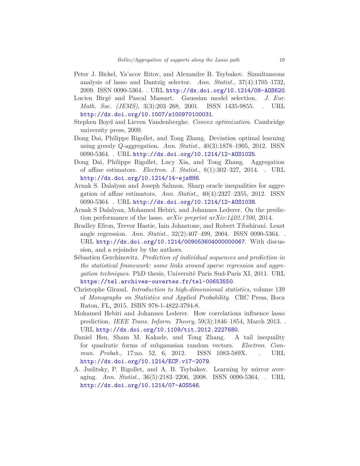- <span id="page-18-0"></span>Peter J. Bickel, Ya'acov Ritov, and Alexandre B. Tsybakov. Simultaneous analysis of lasso and Dantzig selector. *Ann. Statist.*, 37(4):1705–1732, 2009. ISSN 0090-5364. . URL <http://dx.doi.org/10.1214/08-AOS620>.
- <span id="page-18-7"></span>Lucien Birgé and Pascal Massart. Gaussian model selection. *J. Eur. Math. Soc. (JEMS)*, 3(3):203–268, 2001. ISSN 1435-9855. . URL <http://dx.doi.org/10.1007/s100970100031>.
- <span id="page-18-11"></span>Stephen Boyd and Lieven Vandenberghe. *Convex optimization*. Cambridge university press, 2009.
- <span id="page-18-8"></span>Dong Dai, Philippe Rigollet, and Tong Zhang. Deviation optimal learning using greedy *Q*-aggregation. *Ann. Statist.*, 40(3):1878–1905, 2012. ISSN 0090-5364. . URL <http://dx.doi.org/10.1214/12-AOS1025>.
- <span id="page-18-6"></span>Dong Dai, Philippe Rigollet, Lucy Xia, and Tong Zhang. Aggregation of affine estimators. *Electron. J. Statist.*, 8(1):302–327, 2014. . URL <http://dx.doi.org/10.1214/14-ejs886>.
- <span id="page-18-5"></span>Arnak S. Dalalyan and Joseph Salmon. Sharp oracle inequalities for aggregation of affine estimators. *Ann. Statist.*, 40(4):2327–2355, 2012. ISSN 0090-5364. . URL <http://dx.doi.org/10.1214/12-AOS1038>.
- <span id="page-18-2"></span>Arnak S Dalalyan, Mohamed Hebiri, and Johannes Lederer. On the prediction performance of the lasso. *arXiv preprint arXiv:1402.1700*, 2014.
- <span id="page-18-9"></span>Bradley Efron, Trevor Hastie, Iain Johnstone, and Robert Tibshirani. Least angle regression. *Ann. Statist.*, 32(2):407–499, 2004. ISSN 0090-5364. . URL <http://dx.doi.org/10.1214/009053604000000067>. With discussion, and a rejoinder by the authors.
- <span id="page-18-4"></span>Sébastien Gerchinovitz. *Prediction of individual sequences and prediction in the statistical framework: some links around sparse regression and aggregation techniques*. PhD thesis, Université Paris Sud-Paris XI, 2011. URL <https://tel.archives-ouvertes.fr/tel-00653550>.
- <span id="page-18-10"></span>Christophe Giraud. *Introduction to high-dimensional statistics*, volume 139 of *Monographs on Statistics and Applied Probability*. CRC Press, Boca Raton, FL, 2015. ISBN 978-1-4822-3794-8.
- <span id="page-18-1"></span>Mohamed Hebiri and Johannes Lederer. How correlations influence lasso prediction. *IEEE Trans. Inform. Theory*, 59(3):1846–1854, March 2013. . URL <http://dx.doi.org/10.1109/tit.2012.2227680>.
- <span id="page-18-12"></span>Daniel Hsu, Sham M. Kakade, and Tong Zhang. A tail inequality for quadratic forms of subgaussian random vectors. *Electron. Commun. Probab.*, 17:no. 52, 6, 2012. ISSN 1083-589X. . URL <http://dx.doi.org/10.1214/ECP.v17-2079>.
- <span id="page-18-3"></span>A. Juditsky, P. Rigollet, and A. B. Tsybakov. Learning by mirror averaging. *Ann. Statist.*, 36(5):2183–2206, 2008. ISSN 0090-5364. . URL <http://dx.doi.org/10.1214/07-AOS546>.